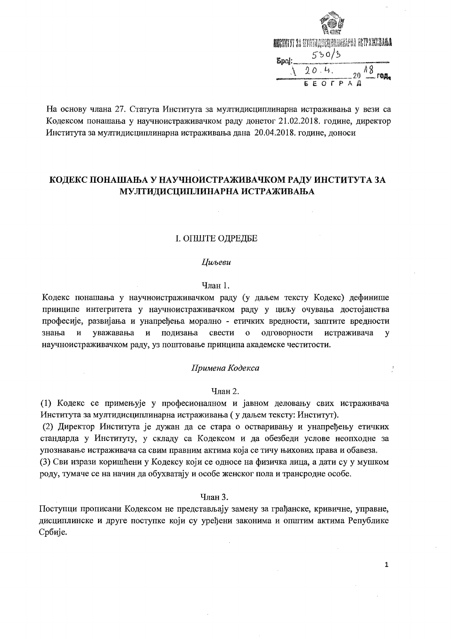| <b>MARTIT 33 GYATA ARGUMANIA AL TA SU ANITALA A</b> |  |  |       |                     |  |                   |  |
|-----------------------------------------------------|--|--|-------|---------------------|--|-------------------|--|
| Spoj                                                |  |  | 550/5 |                     |  |                   |  |
|                                                     |  |  | 90.4. |                     |  | $20\frac{18}{10}$ |  |
|                                                     |  |  |       | $F$ $O$ $F$ $P$ $A$ |  |                   |  |

 $\,$   $\,$ 

 $\mathbf{1}$ 

На основу члана 27. Статута Института за мултидисциплинарна истраживања у вези са Кодексом понашања у научноистраживачком раду донетог 21.02.2018. године, директор Института за мултидисциплинарна истраживања дана 20.04.2018. године, доноси

# КОДЕКС ПОНАШАЊА У НАУЧНОИСТРАЖИВАЧКОМ РАДУ ИНСТИТУТА ЗА МУЛТИДИСЦИПЛИНАРНА ИСТРАЖИВАЊА

# І. ОПШТЕ ОДРЕДБЕ

#### **Ци**ьеви

### Члан 1.

Кодекс понашања у научноистраживачком раду (у даљем тексту Кодекс) дефинише принципе интегритета у научноистраживачком раду у циљу очувања достојанства професије, развијања и унапређења морално - етичких вредности, заштите вредности знања уважавања и подизања свести одговорности истраживача И  $\mathbf{o}$  $\mathbf{v}$ научноистраживачком раду, уз поштовање принципа академске честитости.

### Примена Кодекса

#### Члан 2.

(1) Кодекс се примењује у професионалном и јавном деловању свих истраживача Института за мултидисциплинарна истраживања (у даљем тексту: Институт).

 $\sim$   $\sim$ 

(2) Директор Института је дужан да се стара о остваривању и унапређењу етичких стандарда у Институту, у складу са Кодексом и да обезбеди услове неопходне за упознавање истраживача са свим правним актима која се тичу њихових права и обавеза. (3) Сви изрази коришћени у Кодексу који се односе на физичка лица, а дати су у мушком роду, тумаче се на начин да обухватају и особе женског пола и трансродне особе.

### Члан 3.

Поступци прописани Кодексом не представљају замену за грађанске, кривичне, управне, дисциплинске и друге поступке који су уређени законима и општим актима Републике Србије.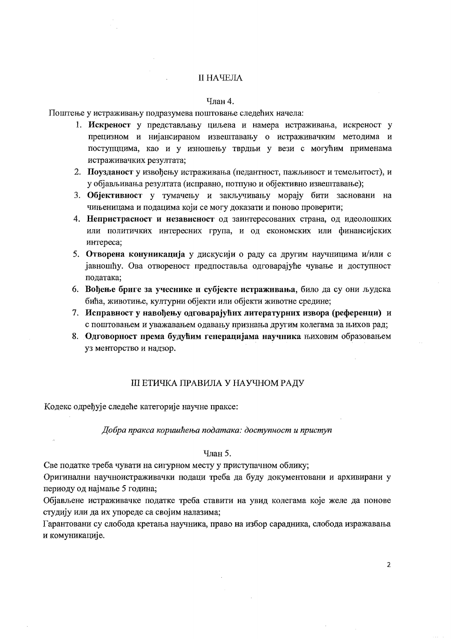# **II НАЧЕЛА**

# Члан 4.

Поштење у истраживању подразумева поштовање следећих начела:

- 1. Искреност у представљању циљева и намера истраживања, искреност у прецизном и нијансираном извештавању о истраживачким методима и поступциима, као и у изношењу тврдњи у вези с могућим применама истраживачких резултата;
- 2. Поузданост у извођењу истраживања (педантност, пажљивост и темељитост), и у објављивања резултата (исправно, потпуно и објективно извештавање);
- 3. Објективност у тумачењу и закључивању морају бити засновани на чињеницама и подацима који се могу доказати и поново проверити;
- 4. Непристрасност и независност од заинтересованих страна, од идеолошких или политичких интересних група, и од економских или финансијских интереса;
- 5. Отворена конуникација у дискусији о раду са другим научницима и/или с јавношћу. Ова отвореност предпоставља одговарајуће чување и доступност података:
- 6. Вођење бриге за учеснике и субјекте истраживања, било да су они људска бића, животиње, културни објекти или објекти животне средине;
- 7. Исправност у навођењу одговарајућих литературних извора (референци) и с поштовањем и уважавањем одавању признања другим колегама за њихов рад;
- 8. Одговорност према будућим генерацијама научника њиховим образовањем уз менторство и надзор.

### **III ЕТИЧКА ПРАВИЛА У НАУЧНОМ РАДУ**

Кодекс одређује следеће категорије научне праксе:

Добра пракса коришћења података: доступност и приступ

# Члан 5.

Све податке треба чувати на сигурном месту у приступачном облику;

Оригинални научноистраживачки подаци треба да буду документовани и архивирани у периоду од најмање 5 година;

Објављене истраживачке податке треба ставити на увид колегама које желе да понове студију или да их упореде са својим налазима;

Гарантовани су слобода кретања научника, право на избор сарадника, слобода изражавања и комуникације.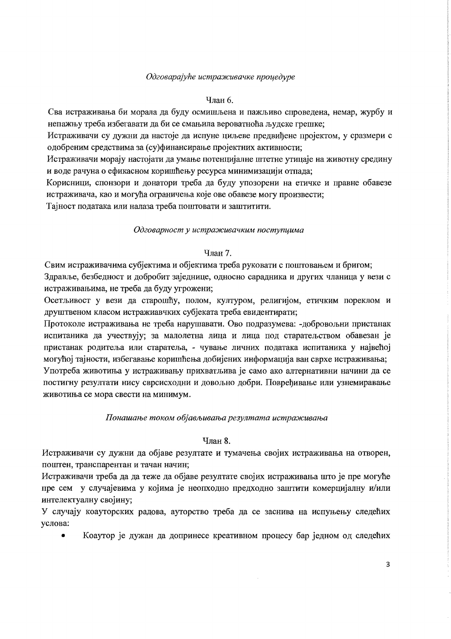# Одговарајуће истраживачке проиедуре

# Члан 6.

Сва истраживања би морала да буду осмишљена и пажљиво спроведена, немар, журбу и непажњу треба избегавати да би се смањила вероватноћа људске грешке;

Истраживачи су дужни да настоје да испуне циљеве предвићене пројектом, у сразмери с одобреним средствима за (су)финансирање пројектних активности;

Истраживачи морају настојати да умање потенцијалне штетне утицаје на животну средину и воде рачуна о ефикасном коришћењу ресурса минимизацији отпада;

Корисници, спонзори и донатори треба да буду упозорени на етичке и правне обавезе истраживача, као и могућа ограничења које ове обавезе могу произвести;

Тајност података или налаза треба поштовати и заштитити.

# Одговарност у истраживачким поступиима

# Члан 7.

Свим истраживачима субјектима и објектима треба руковати с поштовањем и бригом; Здравље, безбедност и добробит заједнице, односно сарадника и других чланица у вези с истраживањима, не треба да буду угрожени;

Осетљивост у вези да старошћу, полом, културом, религијом, етичким пореклом и друштвеном класом истражиавчких субјеката треба евидентирати;

Протоколе истраживања не треба нарушавати. Ово подразумева: -добровољни пристанак испитаника да учествују; за малолетна лица и лица под старатељством обавезан је пристанак родитеља или старатеља, - чување личних података испитаника у највећој могућој тајности, избегавање коришћења добијених информација ван сврхе истраживања; Употреба животиња у истраживању прихватљива је само ако алтернативни начини да се постигну резултати нису сврсисходни и довољно добри. Повређивање или узнемиравање животиња се мора свести на минимум.

# Понашање током објављивања резултата истраживања

# Члан 8.

Истраживачи су дужни да објаве резултате и тумачења својих истраживања на отворен, поштен, транспарентан и тачан начин;

Истраживачи треба да да теже да објаве резултате својих истраживања што је пре могуће пре сем у случајевима у којима је неопходно предходно заштити комерцијалну и/или интелектуалну својину;

У случају коауторских радова, ауторство треба да се заснива на испуњењу следећих услова:

Коаутор је дужан да допринесе креативном процесу бар једном од следећих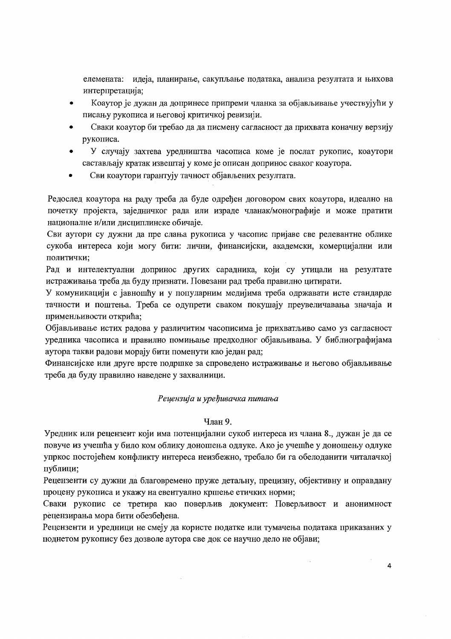елемената: идеја, планирање, сакупљање података, анализа резултата и њихова интерпретација;

- Коаутор је дужан да допринесе припреми чланка за објављивање учествујући у писању рукописа и његовој критичкој ревизији.
- Сваки коаутор би требао да да писмену сагласност да прихвата коначну верзију  $\bullet$ рукописа.
- У случају захтева уредништва часописа коме је послат рукопис, коаутори састављају кратак извештај у коме је описан допринос сваког коаутора.
- Сви коаутори гарантују тачност објављених резултата.  $\bullet$

Редослед коаутора на раду треба да буде одређен договором свих коаутора, идеално на почетку пројекта, заједничког рада или израде чланак/монографије и може пратити националне и/или дисциплинске обичаје.

Сви аутори су дужни да пре слања рукописа у часопис пријаве све релевантне облике сукоба интереса који могу бити: лични, финансијски, академски, комерцијални или политички:

Рад и интелектуални допринос других сарадника, који су утицали на резултате истраживања треба да буду признати. Повезани рад треба правилно цитирати.

У комуникацији с јавношћу и у популарним медијима треба одржавати исте стандарде тачности и поштења. Треба се одупрети сваком покушају преувеличавања значаја и применљивости открића;

Објављивање истих радова у различитим часописима је прихватљиво само уз сагласност уредника часописа и правилно помињање предходног објављивања. У библиографијама аутора такви радови морају бити поменути као један рад:

Финансијске или друге врсте подршке за спроведено истраживање и његово објављивање треба да буду правилно наведене у захвалници.

# Рецензија и уређивачка питања

#### Члан 9.

Уредник или рецензент који има потенцијални сукоб интереса из члана 8., дужан је да се повуче из учешћа у било ком облику доношења одлуке. Ако је учешће у доношењу одлуке упркос постојећем конфликту интереса неизбежно, требало би га обелоданити читалачкој публици:

Рецензенти су дужни да благовремено пруже детальну, прецизну, објективну и оправдану процену рукописа и укажу на евентуално кршење етичких норми;

Сваки рукопис се третира као поверљив документ: Поверљивост и анонимност рецензирања мора бити обезбеђена.

Рецензенти и уредници не смеју да користе податке или тумачења података приказаних у поднетом рукопису без дозволе аутора све док се научно дело не објави;

 $\overline{a}$ 

 $\mathcal{L}$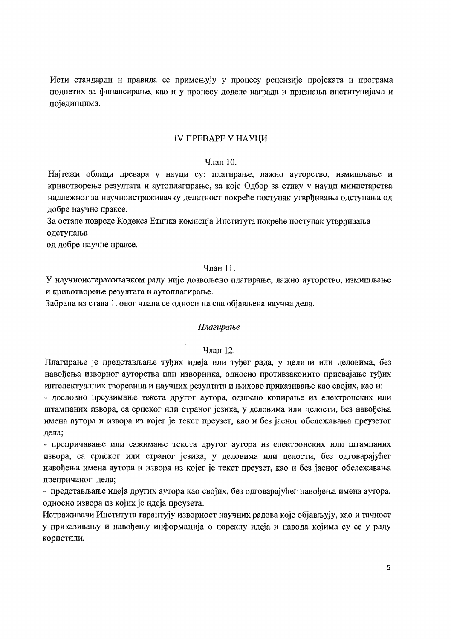Исти стандарди и правила се примењују у процесу рецензије пројеката и програма поднетих за финансирање, као и у процесу доделе награда и признања институцијама и појединцима.

### ІУ ПРЕВАРЕ У НАУШИ

# Члян 10

Најтежи облици превара у науци су: плагирање, лажно ауторство, измишљање и кривотворење резултата и аутоплагирање, за које Одбор за етику у науци министарства надлежног за научноистраживачку делатност покреће поступак утврђивања одступања од добре научне праксе.

За остале повреде Кодекса Етичка комисија Института покреће поступак утврђивања одступања

од добре научне праксе.

# Члан 11.

У научноистараживачком раду није дозвољено плагирање, лажно ауторство, измишљање и кривотворење резултата и аутоплагирање.

Забрана из става 1. овог члана се односи на сва објављена научна дела.

#### Плагирање

#### Члан 12.

Плагирање је представљање туђих идеја или туђег рада, у целини или деловима, без навођења изворног ауторства или изворника, односно противзаконито присвајање туђих интелектуалних творевина и научних резултата и њихово приказивање као својих, као и:

- дословно преузимање текста другог аутора, односно копирање из електронских или штампаних извора, са српског или страног језика, у деловима или целости, без навођења имена аутора и извора из којег је текст преузет, као и без јасног обележавања преузетог дела;

- препричавање или сажимање текста другог аутора из електронских или штампаних извора, са српског или страног језика, у деловима или целости, без одговарајућег навођења имена аутора и извора из којег је текст преузет, као и без јасног обележавања

Истраживачи Института гарантују изворност научних радова које објављују, као и тачност у приказивању и навођењу информација о пореклу идеја и навода којима су се у раду користили.

препричаног дела; - представљање идеја других аутора као својих, без одговарајућег навођења имена аутора, односно извора из којих је идеја преузета.

### 5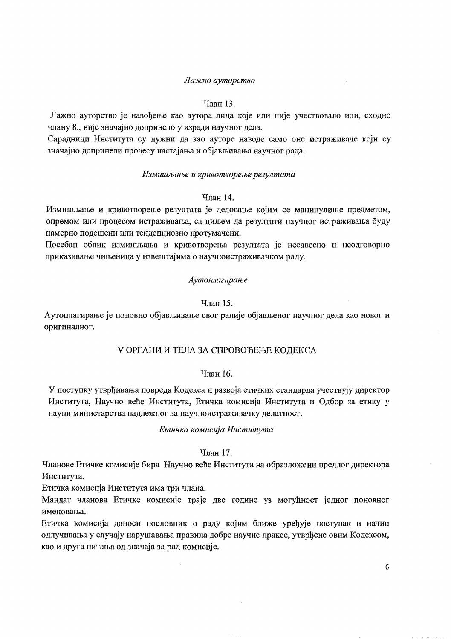### Лажно ауторство

 $\tau$ 

#### Члан 13.

Лажно ауторство је навођење као аутора лица које или није учествовало или, сходно члану 8., није значајно допринело у изради научног дела.

Сарадници Института су дужни да као ауторе наводе само оне истраживаче који су значајно допринели процесу настајања и објављивања научног рада.

#### Измишљање и кривотворење резултата

# Члан 14.

Измишљање и кривотворење резултата је деловање којим се манипулише предметом, опремом или процесом истраживања, са циљем да резултати научног истраживања буду намерно подешени или тенденциозно протумачени.

Посебан облик измишљања и кривотворења резултата је несавесно и неодговорно приказивање чињеница у извештајима о научноистраживачком раду.

### Аутоплагирање

### Члан 15.

Аутоплагирање је поновно објављивање свог раније објављеног научног дела као новог и оригиналног.

# **V ОРГАНИ И ТЕЛА ЗА СПРОВОЂЕЊЕ КОДЕКСА**

#### Члан 16.

У поступку утврђивања повреда Кодекса и развоја етичких стандарда учествују директор Института, Научно веће Института, Етичка комисија Института и Одбор за етику у науци министарства надлежног за научноистраживачку делатност.

### Етичка комисија Института

### Члан 17.

Чланове Етичке комисије бира Научно веће Института на образложени предлог директора Института.

Етичка комисија Института има три члана.

Мандат чланова Етичке комисије траје две године уз могућност једног поновног именовања.

Етичка комисија доноси пословник о раду којим ближе уређује поступак и начин одлучивања у случају нарушавања правила добре научне праксе, утврђене овим Кодексом, као и друга питања од значаја за рад комисије.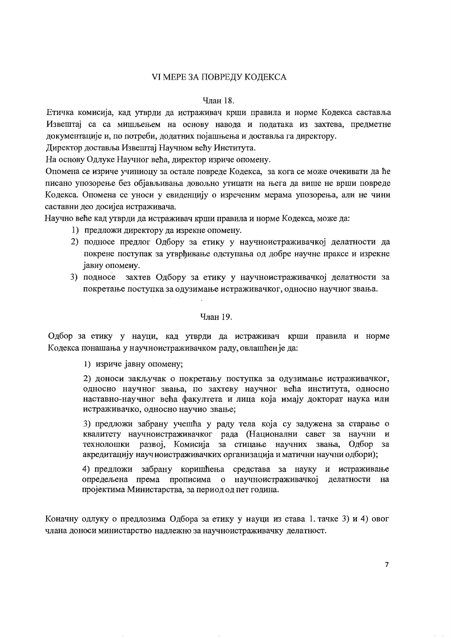# **VI MEPE ЗА ПОВРЕЛУ КОЛЕКСА**

### Члан 18.

Етичка комисија, кад утврди да истраживач крши правила и норме Кодекса саставља Извештај са са мишљењем на основу навода и података из захтева, предметне документације и, по потреби, долатних појашњења и доставља га директору.

Директор доставља Извештај Научном већу Института.

На основу Одлуке Научног већа, директор изриче опомену.

Опомена се изриче учиниоцу за остале повреде Кодекса, за кога се може очекивати да ће писано упозорење без објављивања довољно утицати на њега да више не врши повреде Кодекса. Опомена се уноси у евиденцију о изреченим мерама упозорења, али не чини саставни део досијеа истраживача.

Научно веће кад утврди да истраживач крши правила и норме Кодекса, може да:

- 1) предложи директору да изрекне опомену.
- 2) подносе предлог Одбору за етику у научноистраживачкој делатности да покрене поступак за утврђивање одступања од добре научне праксе и изрекне јавну опомену.
- захтев Одбору за етику у научноистраживачкој делатности за 3) подносе покретање поступка за одузимање истраживачког, односно научног звања.

### Члан 19.

Одбор за етику у науци, кад утврди да истраживач крши правила и норме Кодекса понашања у научноистраживачком раду, овлашћен је да:

1) изриче јавну опомену:

2) доноси закључак о покретању поступка за одузимање истраживачког, односно научног звања, по захтеву научног већа института, односно наставно-научног већа факултета и лица која имају докторат наука или истраживачко, односно научио звање;

3) предложи забрану учешћа у раду тела која су задужена за старање о квалитету научноистраживачког рада (Национални савет за научни и акредитацију научноистраживачких организација и матични научни одбори);

4) предложи забрану коришћења средстава за науку и истраживање опредељена према прописима о научноистраживачкој делатности на пројектима Министарства, за период од пет година.

Коначну одлуку о предлозима Одбора за етику у науци из става 1. тачке 3) и 4) овог члана доноси министарство надлежно за научноистраживачку делатност.